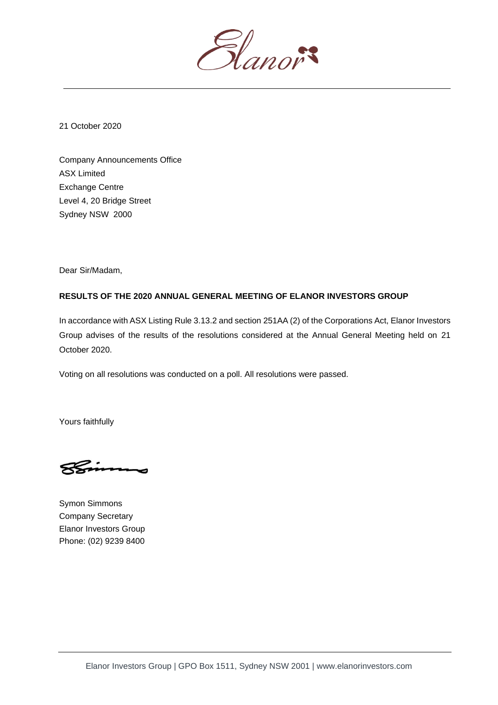

21 October 2020

Company Announcements Office ASX Limited Exchange Centre Level 4, 20 Bridge Street Sydney NSW 2000

Dear Sir/Madam,

## **RESULTS OF THE 2020 ANNUAL GENERAL MEETING OF ELANOR INVESTORS GROUP**

In accordance with ASX Listing Rule 3.13.2 and section 251AA (2) of the Corporations Act, Elanor Investors Group advises of the results of the resolutions considered at the Annual General Meeting held on 21 October 2020.

Voting on all resolutions was conducted on a poll. All resolutions were passed.

Yours faithfully

Symon Simmons Company Secretary Elanor Investors Group Phone: (02) 9239 8400